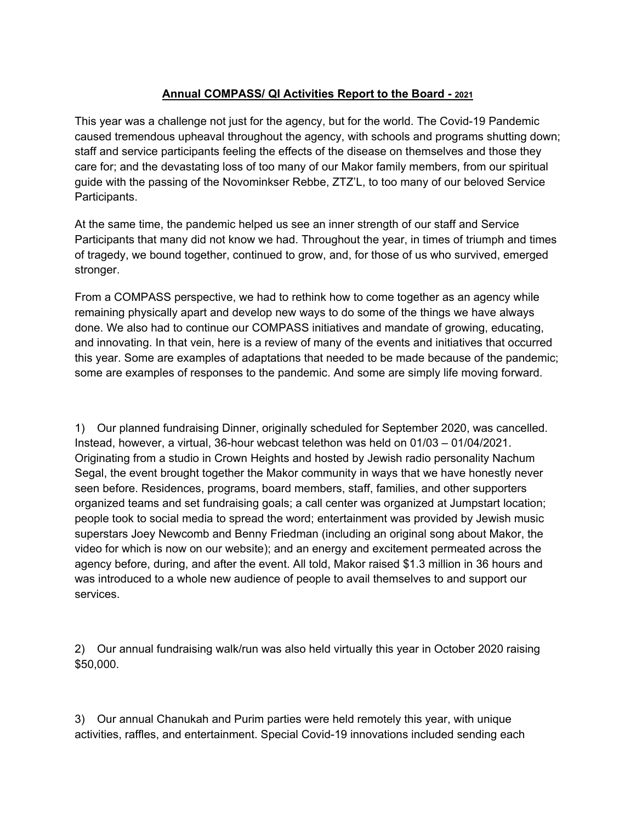## **Annual COMPASS/ QI Activities Report to the Board - 2021**

This year was a challenge not just for the agency, but for the world. The Covid-19 Pandemic caused tremendous upheaval throughout the agency, with schools and programs shutting down; staff and service participants feeling the effects of the disease on themselves and those they care for; and the devastating loss of too many of our Makor family members, from our spiritual guide with the passing of the Novominkser Rebbe, ZTZ'L, to too many of our beloved Service Participants.

At the same time, the pandemic helped us see an inner strength of our staff and Service Participants that many did not know we had. Throughout the year, in times of triumph and times of tragedy, we bound together, continued to grow, and, for those of us who survived, emerged stronger.

From a COMPASS perspective, we had to rethink how to come together as an agency while remaining physically apart and develop new ways to do some of the things we have always done. We also had to continue our COMPASS initiatives and mandate of growing, educating, and innovating. In that vein, here is a review of many of the events and initiatives that occurred this year. Some are examples of adaptations that needed to be made because of the pandemic; some are examples of responses to the pandemic. And some are simply life moving forward.

1) Our planned fundraising Dinner, originally scheduled for September 2020, was cancelled. Instead, however, a virtual, 36-hour webcast telethon was held on 01/03 – 01/04/2021. Originating from a studio in Crown Heights and hosted by Jewish radio personality Nachum Segal, the event brought together the Makor community in ways that we have honestly never seen before. Residences, programs, board members, staff, families, and other supporters organized teams and set fundraising goals; a call center was organized at Jumpstart location; people took to social media to spread the word; entertainment was provided by Jewish music superstars Joey Newcomb and Benny Friedman (including an original song about Makor, the video for which is now on our website); and an energy and excitement permeated across the agency before, during, and after the event. All told, Makor raised \$1.3 million in 36 hours and was introduced to a whole new audience of people to avail themselves to and support our services.

2) Our annual fundraising walk/run was also held virtually this year in October 2020 raising \$50,000.

3) Our annual Chanukah and Purim parties were held remotely this year, with unique activities, raffles, and entertainment. Special Covid-19 innovations included sending each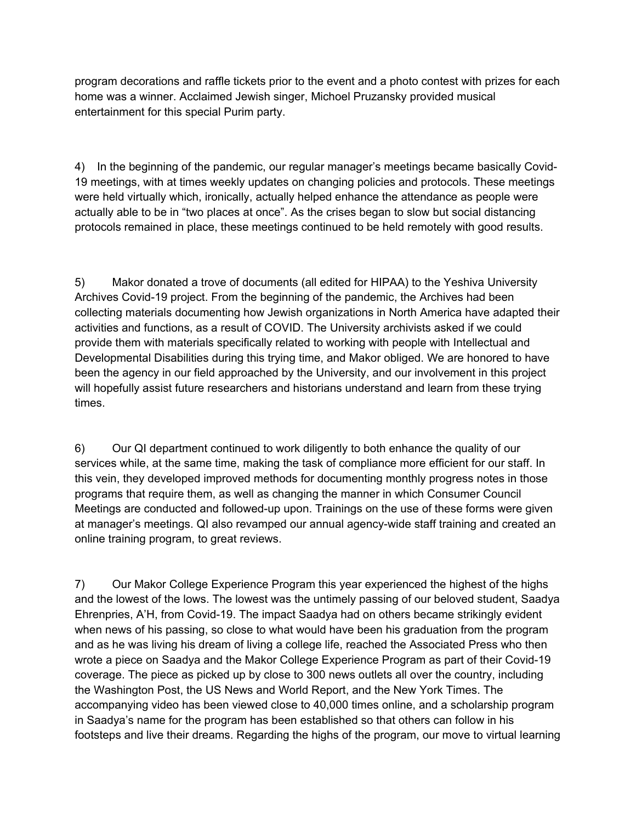program decorations and raffle tickets prior to the event and a photo contest with prizes for each home was a winner. Acclaimed Jewish singer, Michoel Pruzansky provided musical entertainment for this special Purim party.

4) In the beginning of the pandemic, our regular manager's meetings became basically Covid-19 meetings, with at times weekly updates on changing policies and protocols. These meetings were held virtually which, ironically, actually helped enhance the attendance as people were actually able to be in "two places at once". As the crises began to slow but social distancing protocols remained in place, these meetings continued to be held remotely with good results.

5) Makor donated a trove of documents (all edited for HIPAA) to the Yeshiva University Archives Covid-19 project. From the beginning of the pandemic, the Archives had been collecting materials documenting how Jewish organizations in North America have adapted their activities and functions, as a result of COVID. The University archivists asked if we could provide them with materials specifically related to working with people with Intellectual and Developmental Disabilities during this trying time, and Makor obliged. We are honored to have been the agency in our field approached by the University, and our involvement in this project will hopefully assist future researchers and historians understand and learn from these trying times.

6) Our QI department continued to work diligently to both enhance the quality of our services while, at the same time, making the task of compliance more efficient for our staff. In this vein, they developed improved methods for documenting monthly progress notes in those programs that require them, as well as changing the manner in which Consumer Council Meetings are conducted and followed-up upon. Trainings on the use of these forms were given at manager's meetings. QI also revamped our annual agency-wide staff training and created an online training program, to great reviews.

7) Our Makor College Experience Program this year experienced the highest of the highs and the lowest of the lows. The lowest was the untimely passing of our beloved student, Saadya Ehrenpries, A'H, from Covid-19. The impact Saadya had on others became strikingly evident when news of his passing, so close to what would have been his graduation from the program and as he was living his dream of living a college life, reached the Associated Press who then wrote a piece on Saadya and the Makor College Experience Program as part of their Covid-19 coverage. The piece as picked up by close to 300 news outlets all over the country, including the Washington Post, the US News and World Report, and the New York Times. The accompanying video has been viewed close to 40,000 times online, and a scholarship program in Saadya's name for the program has been established so that others can follow in his footsteps and live their dreams. Regarding the highs of the program, our move to virtual learning